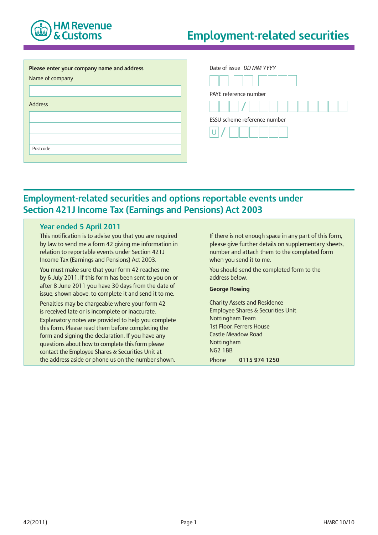

# **Employment-related securities**

| Please enter your company name and address | Date of issue DD MM YYYY     |
|--------------------------------------------|------------------------------|
| Name of company                            |                              |
|                                            | PAYE reference number        |
| <b>Address</b>                             |                              |
|                                            | ESSU scheme reference number |
|                                            |                              |
| Postcode                                   |                              |

## **Employment-related securities and options reportable events under Section 421J Income Tax (Earnings and Pensions) Act 2003**

## **Year ended 5 April 2011**

This notification is to advise you that you are required by law to send me a form 42 giving me information in relation to reportable events under Section 421J Income Tax (Earnings and Pensions) Act 2003.

You must make sure that your form 42 reaches me by 6 July 2011. If this form has been sent to you on or after 8 June 2011 you have 30 days from the date of issue, shown above, to complete it and send it to me.

Penalties may be chargeable where your form 42 is received late or is incomplete or inaccurate. Explanatory notes are provided to help you complete this form. Please read them before completing the form and signing the declaration. If you have any questions about how to complete this form please contact the Employee Shares & Securities Unit at the address aside or phone us on the number shown.

If there is not enough space in any part of this form, please give further details on supplementary sheets, number and attach them to the completed form when you send it to me.

You should send the completed form to the address below.

#### **George Rowing**

Charity Assets and Residence Employee Shares & Securities Unit Nottingham Team 1st Floor, Ferrers House Castle Meadow Road Nottingham NG2 1BB Phone **0115 974 1250**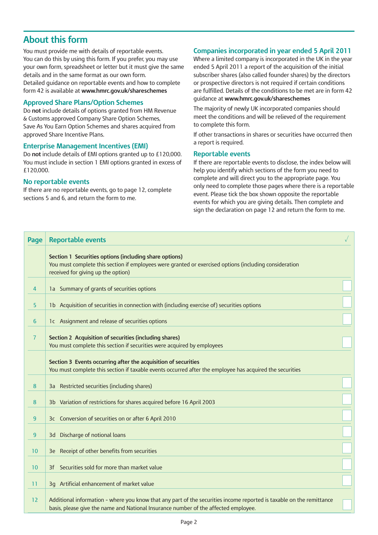## **About this form**

You must provide me with details of reportable events. You can do this by using this form. If you prefer, you may use your own form, spreadsheet or letter but it must give the same details and in the same format as our own form. Detailed guidance on reportable events and how to complete form 42 is available at **www.hmrc.gov.uk/shareschemes**

#### **Approved Share Plans/Option Schemes**

Do **not** include details of options granted from HM Revenue & Customs approved Company Share Option Schemes, Save As You Earn Option Schemes and shares acquired from approved Share Incentive Plans.

#### **Enterprise Management Incentives (EMI)**

Do **not** include details of EMI options granted up to £120,000. You must include in section 1 EMI options granted in excess of £120,000.

#### **No reportable events**

If there are no reportable events, go to page 12, complete sections 5 and 6, and return the form to me.

## **Companies incorporated in year ended 5 April 2011**

Where a limited company is incorporated in the UK in the year ended 5 April 2011 a report of the acquisition of the initial subscriber shares (also called founder shares) by the directors or prospective directors is not required if certain conditions are fulfilled. Details of the conditions to be met are in form 42 guidance at **www.hmrc.gov.uk/shareschemes**

The majority of newly UK incorporated companies should meet the conditions and will be relieved of the requirement to complete this form.

If other transactions in shares or securities have occurred then a report is required.

#### **Reportable events**

If there are reportable events to disclose, the index below will help you identify which sections of the form you need to complete and will direct you to the appropriate page. You only need to complete those pages where there is a reportable event. Please tick the box shown opposite the reportable events for which you are giving details. Then complete and sign the declaration on page 12 and return the form to me.

| Page           | <b>Reportable events</b>                                                                                                                                                                                    |  |
|----------------|-------------------------------------------------------------------------------------------------------------------------------------------------------------------------------------------------------------|--|
|                | Section 1 Securities options (including share options)<br>You must complete this section if employees were granted or exercised options (including consideration<br>received for giving up the option)      |  |
| 4              | 1a Summary of grants of securities options                                                                                                                                                                  |  |
| 5              | 1b Acquisition of securities in connection with (including exercise of) securities options                                                                                                                  |  |
| 6              | 1c Assignment and release of securities options                                                                                                                                                             |  |
| $\overline{7}$ | Section 2 Acquisition of securities (including shares)<br>You must complete this section if securities were acquired by employees                                                                           |  |
|                | Section 3 Events occurring after the acquisition of securities<br>You must complete this section if taxable events occurred after the employee has acquired the securities                                  |  |
| 8              | 3a Restricted securities (including shares)                                                                                                                                                                 |  |
| 8              | 3b Variation of restrictions for shares acquired before 16 April 2003                                                                                                                                       |  |
| 9              | 3c Conversion of securities on or after 6 April 2010                                                                                                                                                        |  |
| 9              | 3d Discharge of notional loans                                                                                                                                                                              |  |
| 10             | 3e Receipt of other benefits from securities                                                                                                                                                                |  |
| 10             | 3f Securities sold for more than market value                                                                                                                                                               |  |
| 11             | 3q Artificial enhancement of market value                                                                                                                                                                   |  |
| 12             | Additional information - where you know that any part of the securities income reported is taxable on the remittance<br>basis, please give the name and National Insurance number of the affected employee. |  |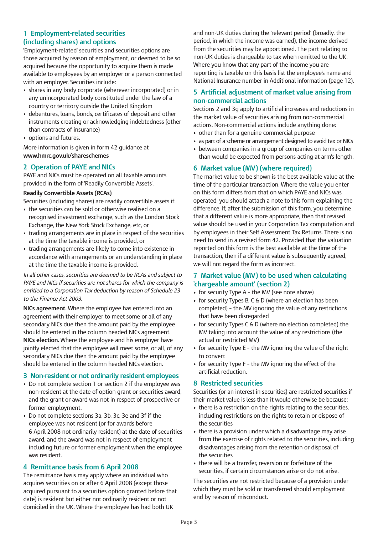## **1 Employment-related securities (including shares) and options**

'Employment-related' securities and securities options are those acquired by reason of employment, or deemed to be so acquired because the opportunity to acquire them is made available to employees by an employer or a person connected with an employer. Securities include:

- shares in any body corporate (wherever incorporated) or in any unincorporated body constituted under the law of a country or territory outside the United Kingdom
- debentures, loans, bonds, certificates of deposit and other instruments creating or acknowledging indebtedness (other than contracts of insurance)
- options and futures.

More information is given in form 42 guidance at **www.hmrc.gov.uk/shareschemes**

## **2 Operation of PAYE and NICs**

PAYE and NICs must be operated on all taxable amounts provided in the form of 'Readily Convertible Assets'.

#### **Readily Convertible Assets (RCAs)**

Securities (including shares) are readily convertible assets if:

- the securities can be sold or otherwise realised on a recognised investment exchange, such as the London Stock Exchange, the New York Stock Exchange, etc, or
- trading arrangements are in place in respect of the securities at the time the taxable income is provided, or
- trading arrangements are likely to come into existence in accordance with arrangements or an understanding in place at the time the taxable income is provided.

*In all other cases, securities are deemed to be RCAs and subject to PAYE and NICs if securities are not shares for which the company is entitled to a Corporation Tax deduction by reason of Schedule 23 to the Finance Act 2003.*

**NICs agreement.** Where the employee has entered into an agreement with their employer to meet some or all of any secondary NICs due then the amount paid by the employee should be entered in the column headed NICs agreement. **NICs election.** Where the employee and his employer have jointly elected that the employee will meet some, or all, of any secondary NICs due then the amount paid by the employee should be entered in the column headed NICs election.

### **3 Non-resident or not ordinarily resident employees**

- Do not complete section 1 or section 2 if the employee was non-resident at the date of option grant or securities award, and the grant or award was not in respect of prospective or former employment.
- Do not complete sections 3a, 3b, 3c, 3e and 3f if the employee was not resident (or for awards before 6 April 2008 not ordinarily resident) at the date of securities award, and the award was not in respect of employment including future or former employment when the employee was resident.

## **4 Remittance basis from 6 April 2008**

The remittance basis may apply where an individual who acquires securities on or after 6 April 2008 (except those acquired pursuant to a securities option granted before that date) is resident but either not ordinarily resident or not domiciled in the UK. Where the employee has had both UK

and non-UK duties during the 'relevant period' (broadly, the period, in which the income was earned), the income derived from the securities may be apportioned. The part relating to non-UK duties is chargeable to tax when remitted to the UK. Where you know that any part of the income you are reporting is taxable on this basis list the employee's name and National Insurance number in Additional information (page 12).

### **5 Artificial adjustment of market value arising from non-commercial actions**

Sections 2 and 3g apply to artificial increases and reductions in the market value of securities arising from non-commercial actions. Non-commercial actions include anything done:

- other than for a genuine commercial purpose
- as part of a scheme or arrangement designed to avoid tax or NICs
- between companies in a group of companies on terms other than would be expected from persons acting at arm's length.

## **6 Market value (MV) (where required)**

The market value to be shown is the best available value at the time of the particular transaction. Where the value you enter on this form differs from that on which PAYE and NICs was operated, you should attach a note to this form explaining the difference. If, after the submission of this form, you determine that a different value is more appropriate, then that revised value should be used in your Corporation Tax computation and by employees in their Self Assessment Tax Returns. There is no need to send in a revised form 42. Provided that the valuation reported on this form is the best available at the time of the transaction, then if a different value is subsequently agreed, we will not regard the form as incorrect.

## **7 Market value (MV) to be used when calculating 'chargeable amount' (section 2)**

- for security Type A the MV (see note above)
- for security Types B, C & D (where an election has been completed) – the MV ignoring the value of any restrictions that have been disregarded
- for security Types C & D (where **no** election completed) the MV taking into account the value of any restrictions (the actual or restricted MV)
- for security Type E the MV ignoring the value of the right to convert
- for security Type F the MV ignoring the effect of the artificial reduction.

### **8 Restricted securities**

Securities (or an interest in securities) are restricted securities if their market value is less than it would otherwise be because:

- there is a restriction on the rights relating to the securities, including restrictions on the rights to retain or dispose of the securities
- there is a provision under which a disadvantage may arise from the exercise of rights related to the securities, including disadvantages arising from the retention or disposal of the securities
- there will be a transfer, reversion or forfeiture of the securities, if certain circumstances arise or do not arise.

The securities are not restricted because of a provision under which they must be sold or transferred should employment end by reason of misconduct.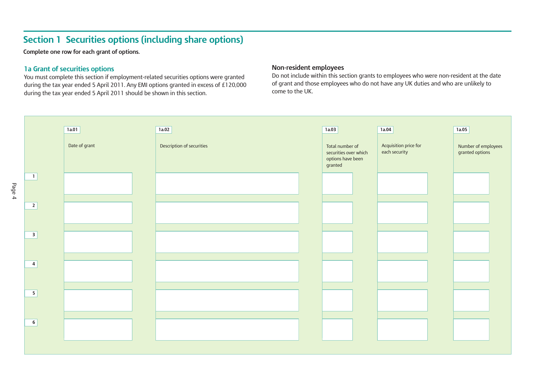## **Section 1 Securities options (including share options)**

**Complete one row for each grant of options.**

## **1a Grant of securities options**

Page 4

You must complete this section if employment-related securities options were granted during the tax year ended 5 April 2011. Any EMI options granted in excess of £120,000 during the tax year ended 5 April 2011 should be shown in this section.

## **Non-resident employees**

Do not include within this section grants to employees who were non-resident at the date of grant and those employees who do not have any UK duties and who are unlikely to come to the UK.

|                         | 1a.01         | 1a.02                     | 1a.03                                                                    | 1a.04                                  | 1a.05                                  |
|-------------------------|---------------|---------------------------|--------------------------------------------------------------------------|----------------------------------------|----------------------------------------|
|                         | Date of grant | Description of securities | Total number of<br>securities over which<br>options have been<br>granted | Acquisition price for<br>each security | Number of employees<br>granted options |
| $\overline{1}$          |               |                           |                                                                          |                                        |                                        |
| $\overline{2}$          |               |                           |                                                                          |                                        |                                        |
| $\overline{\mathbf{3}}$ |               |                           |                                                                          |                                        |                                        |
| $\overline{4}$          |               |                           |                                                                          |                                        |                                        |
| 5 <sup>1</sup>          |               |                           |                                                                          |                                        |                                        |
| 6 <sup>1</sup>          |               |                           |                                                                          |                                        |                                        |
|                         |               |                           |                                                                          |                                        |                                        |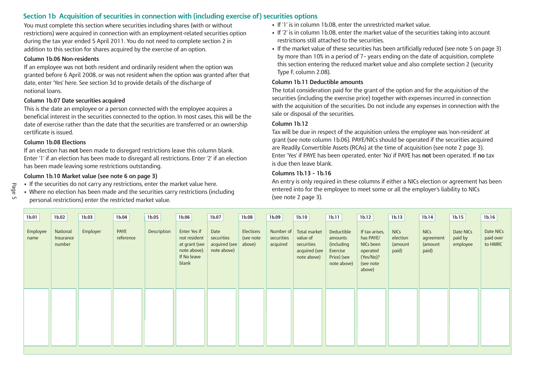## **Section 1b Acquisition of securities in connection with (including exercise of) securities options**

You must complete this section where securities including shares (with or without restrictions) were acquired in connection with an employment-related securities option during the tax year ended 5 April 2011. You do not need to complete section 2 in addition to this section for shares acquired by the exercise of an option.

#### **Column 1b.06 Non-residents**

If an employee was not both resident and ordinarily resident when the option was granted before 6 April 2008, or was not resident when the option was granted after that date, enter 'Yes' here. See section 3d to provide details of the discharge of notional loans.

#### **Column 1b.07 Date securities acquired**

This is the date an employee or a person connected with the employee acquires a beneficial interest in the securities connected to the option. In most cases, this will be the date of exercise rather than the date that the securities are transferred or an ownership certificate is issued.

#### **Column 1b.08 Elections**

If an election has **not** been made to disregard restrictions leave this column blank. Enter '1' if an election has been made to disregard all restrictions. Enter '2' if an election has been made leaving some restrictions outstanding.

## **Column 1b.10 Market value (see note 6 on page 3)**

- If the securities do not carry any restrictions, enter the market value here.
- Where no election has been made and the securities carry restrictions (including personal restrictions) enter the restricted market value.
- If '1' is in column 1b.08, enter the unrestricted market value.
- If '2' is in column 1b.08, enter the market value of the securities taking into account restrictions still attached to the securities.
- If the market value of these securities has been artificially reduced (see note 5 on page 3) by more than 10% in a period of 7– years ending on the date of acquisition, complete this section entering the reduced market value and also complete section 2 (security Type F, column 2.08).

#### **Column 1b.11 Deductible amounts**

The total consideration paid for the grant of the option and for the acquisition of the securities (including the exercise price) together with expenses incurred in connection with the acquisition of the securities. Do not include any expenses in connection with the sale or disposal of the securities.

#### **Column 1b.12**

Tax will be due in respect of the acquisition unless the employee was 'non-resident' at grant (see note column 1b.06). PAYE/NICs should be operated if the securities acquired are Readily Convertible Assets (RCAs) at the time of acquisition (see note 2 page 3). Enter 'Yes' if PAYE has been operated, enter 'No' if PAYE has **not** been operated. If **no** tax is due then leave blank.

#### **Columns 1b.13 – 1b.16**

An entry is only required in these columns if either a NICs election or agreement has been entered into for the employee to meet some or all the employer's liability to NICs (see note 2 page 3).

| 1 <sub>b.01</sub> | 1b.02                           | 1b.03    | 1b.04                    | 1b.05       | 1b.06                                                                                 | 1b.07                                              | 1b.08                            | 1b.09                               | 1b.10                                                                  | 1b.11                                                                                | 1b.12                                                                                    | 1 <sub>b.13</sub>                           | 1 <sub>b.14</sub>                            | 1b.15                            | 1 <sub>b.16</sub>                 |
|-------------------|---------------------------------|----------|--------------------------|-------------|---------------------------------------------------------------------------------------|----------------------------------------------------|----------------------------------|-------------------------------------|------------------------------------------------------------------------|--------------------------------------------------------------------------------------|------------------------------------------------------------------------------------------|---------------------------------------------|----------------------------------------------|----------------------------------|-----------------------------------|
| Employee<br>name  | National<br>Insurance<br>number | Employer | <b>PAYE</b><br>reference | Description | Enter Yes if<br>not resident<br>at grant (see<br>note above).<br>If No leave<br>blank | Date<br>securities<br>acquired (see<br>note above) | Elections<br>(see note<br>above) | Number of<br>securities<br>acquired | Total market<br>value of<br>securities<br>acquired (see<br>note above) | Deductible<br>amounts<br><i>(including</i><br>Exercise<br>Price) (see<br>note above) | If tax arises,<br>has PAYE/<br>NICs been<br>operated<br>(Yes/No)?<br>(see note<br>above) | <b>NICs</b><br>election<br>(amount<br>paid) | <b>NICs</b><br>agreement<br>(amount<br>paid) | Date NICs<br>paid by<br>employee | Date NICs<br>paid over<br>to HMRC |
|                   |                                 |          |                          |             |                                                                                       |                                                    |                                  |                                     |                                                                        |                                                                                      |                                                                                          |                                             |                                              |                                  |                                   |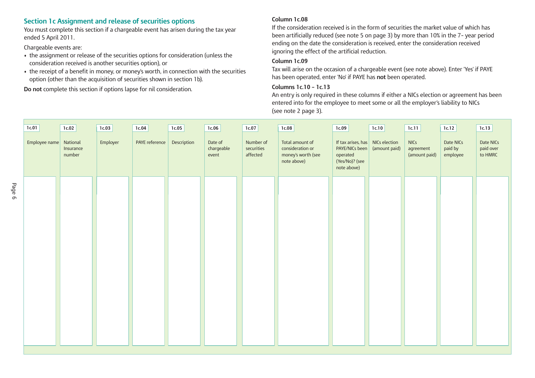### **Section 1c Assignment and release of securities options**

You must complete this section if a chargeable event has arisen during the tax year ended 5 April 2011.

Chargeable events are:

- the assignment or release of the securities options for consideration (unless the consideration received is another securities option), or
- the receipt of a benefit in money, or money's worth, in connection with the securities option (other than the acquisition of securities shown in section 1b).

**Do not** complete this section if options lapse for nil consideration.

#### **Column 1c.08**

If the consideration received is in the form of securities the market value of which has been artificially reduced (see note 5 on page 3) by more than 10% in the 7– year period ending on the date the consideration is received, enter the consideration received ignoring the effect of the artificial reduction.

#### **Column 1c.09**

Tax will arise on the occasion of a chargeable event (see note above). Enter 'Yes' if PAYE has been operated, enter 'No' if PAYE has **not** been operated.

#### **Columns 1c.10 – 1c.13**

An entry is only required in these columns if either a NICs election or agreement has been entered into for the employee to meet some or all the employer's liability to NICs (see note 2 page 3).

| 1c.01                  | 1c.02               | 1c.03    | 1c.04          | 1c.05       | 1c.06                          | 1c.07                               | 1c.08                                                                    | 1c.09                                                                                                   | 1c.10         | 1c.11                                     | 1c.12                            | 1c.13                             |
|------------------------|---------------------|----------|----------------|-------------|--------------------------------|-------------------------------------|--------------------------------------------------------------------------|---------------------------------------------------------------------------------------------------------|---------------|-------------------------------------------|----------------------------------|-----------------------------------|
| Employee name National | Insurance<br>number | Employer | PAYE reference | Description | Date of<br>chargeable<br>event | Number of<br>securities<br>affected | Total amount of<br>consideration or<br>money's worth (see<br>note above) | If tax arises, has $\vert$ NICs election<br>PAYE/NICs been<br>operated<br>(Yes/No)? (see<br>note above) | (amount paid) | <b>NICs</b><br>agreement<br>(amount paid) | Date NICs<br>paid by<br>employee | Date NICs<br>paid over<br>to HMRC |
|                        |                     |          |                |             |                                |                                     |                                                                          |                                                                                                         |               |                                           |                                  |                                   |
|                        |                     |          |                |             |                                |                                     |                                                                          |                                                                                                         |               |                                           |                                  |                                   |
|                        |                     |          |                |             |                                |                                     |                                                                          |                                                                                                         |               |                                           |                                  |                                   |
|                        |                     |          |                |             |                                |                                     |                                                                          |                                                                                                         |               |                                           |                                  |                                   |
|                        |                     |          |                |             |                                |                                     |                                                                          |                                                                                                         |               |                                           |                                  |                                   |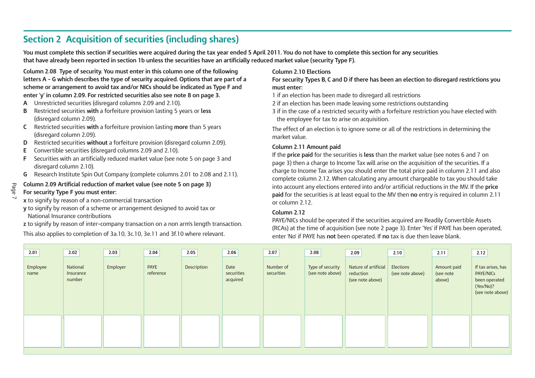## **Section 2 Acquisition of securities (including shares)**

You must complete this section if securities were acquired during the tax year ended 5 April 2011. You do not have to complete this section for any securities that have already been reported in section 1b unless the securities have an artificially reduced market value (security Type F).

**Column 2.08 Type of security. You must enter in this column one of the following letters A – G which describes the type of security acquired. Options that are part of a scheme or arrangement to avoid tax and/or NICs should be indicated as Type F and enter 'y' in column 2.09. For restricted securities also see note 8 on page 3.**

- **A** Unrestricted securities (disregard columns 2.09 and 2.10).
- **B** Restricted securities **with** a forfeiture provision lasting 5 years or **less** (disregard column 2.09).
- **C** Restricted securities **with** a forfeiture provision lasting **more** than 5 years (disregard column 2.09).
- **D** Restricted securities **without** a forfeiture provision (disregard column 2.09).
- **E** Convertible securities (disregard columns 2.09 and 2.10).
- **F** Securities with an artificially reduced market value (see note 5 on page 3 and disregard column 2.10).
- **G** Research Institute Spin Out Company (complete columns 2.01 to 2.08 and 2.11).

### **Column 2.09 Artificial reduction of market value (see note 5 on page 3)**

#### **For security Type F you must enter:**

Page  $\overline{\phantom{0}}$ 

- **x** to signify by reason of a non-commercial transaction
- **y** to signify by reason of a scheme or arrangement designed to avoid tax or National Insurance contributions
- **z** to signify by reason of inter-company transaction on a non arm's length transaction. This also applies to completion of 3a.10, 3c.10, 3e.11 and 3f.10 where relevant.

#### **Column 2.10 Elections**

**For security Types B, C and D if there has been an election to disregard restrictions you must enter:**

1 if an election has been made to disregard all restrictions

- 2 if an election has been made leaving some restrictions outstanding
- 3 if in the case of a restricted security with a forfeiture restriction you have elected with the employee for tax to arise on acquisition.

The effect of an election is to ignore some or all of the restrictions in determining the market value.

#### **Column 2.11 Amount paid**

If the **price paid** for the securities is **less** than the market value (see notes 6 and 7 on page 3) then a charge to Income Tax will arise on the acquisition of the securities. If a charge to Income Tax arises you should enter the total price paid in column 2.11 and also complete column 2.12. When calculating any amount chargeable to tax you should take into account any elections entered into and/or artificial reductions in the MV. If the **price paid** for the securities is at least equal to the MV then **no** entry is required in column 2.11 or column 2.12.

#### **Column 2.12**

PAYE/NICs should be operated if the securities acquired are Readily Convertible Assets (RCAs) at the time of acquisition (see note 2 page 3). Enter 'Yes' if PAYE has been operated, enter 'No' if PAYE has **not** been operated. If **no** tax is due then leave blank.

| 2.01             | 2.02                            | 2.03     | 2.04              | 2.05        | 2.06                           | 2.07                    | 2.08                                 | 2.09                                                  | 2.10                          | 2.11                               | 2.12                                                                                     |
|------------------|---------------------------------|----------|-------------------|-------------|--------------------------------|-------------------------|--------------------------------------|-------------------------------------------------------|-------------------------------|------------------------------------|------------------------------------------------------------------------------------------|
| Employee<br>name | National<br>Insurance<br>number | Employer | PAYE<br>reference | Description | Date<br>securities<br>acquired | Number of<br>securities | Type of security<br>(see note above) | Nature of artificial<br>reduction<br>(see note above) | Elections<br>(see note above) | Amount paid<br>(see note<br>above) | If tax arises, has<br><b>PAYE/NICS</b><br>been operated<br>(Yes/No)?<br>(see note above) |
|                  |                                 |          |                   |             |                                |                         |                                      |                                                       |                               |                                    |                                                                                          |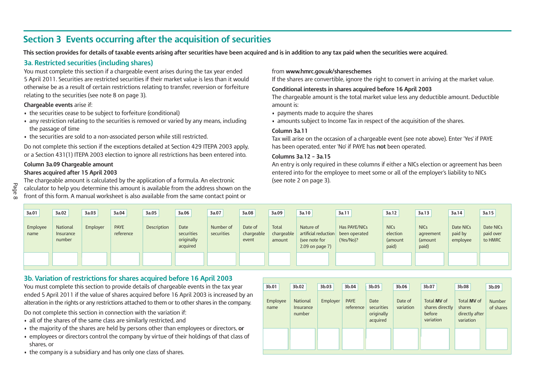## **Section 3 Events occurring after the acquisition of securities**

This section provides for details of taxable events arising after securities have been acquired and is in addition to any tax paid when the securities were acquired.

## **3a. Restricted securities (including shares)**

You must complete this section if a chargeable event arises during the tax year ended 5 April 2011. Securities are restricted securities if their market value is less than it would otherwise be as a result of certain restrictions relating to transfer, reversion or forfeiture relating to the securities (see note 8 on page 3).

#### **Chargeable events** arise if:

- the securities cease to be subject to forfeiture (conditional)
- any restriction relating to the securities is removed or varied by any means, including the passage of time
- the securities are sold to a non-associated person while still restricted.

Do not complete this section if the exceptions detailed at Section 429 ITEPA 2003 apply, or a Section 431(1) ITEPA 2003 election to ignore all restrictions has been entered into.

#### **Column 3a.09 Chargeable amount Shares acquired after 15 April 2003**

The chargeable amount is calculated by the application of a formula. An electronic calculator to help you determine this amount is available from the address shown on the front of this form. A manual worksheet is also available from the same contact point or

#### from **www.hmrc.gov.uk/shareschemes**

If the shares are convertible, ignore the right to convert in arriving at the market value.

#### **Conditional interests in shares acquired before 16 April 2003**

The chargeable amount is the total market value less any deductible amount. Deductible amount is:

- payments made to acquire the shares
- amounts subject to Income Tax in respect of the acquisition of the shares.

#### **Column 3a.11**

Tax will arise on the occasion of a chargeable event (see note above). Enter 'Yes' if PAYE has been operated, enter 'No' if PAYE has **not** been operated.

#### **Columns 3a.12 – 3a.15**

An entry is only required in these columns if either a NICs election or agreement has been entered into for the employee to meet some or all of the employer's liability to NICs (see note 2 on page 3).

| 3a.01            | 3a.02                           | 3a.03    | 3a.04                    | 3a.05              | 3a,06                                        | 3a.07                   | 3a.08                          | 3a.09                         | 3a.10                                                                     | 3a.11                                       | 3a.12                                       | 3a.13                                        | 3a.14                            | 3a.15                             |
|------------------|---------------------------------|----------|--------------------------|--------------------|----------------------------------------------|-------------------------|--------------------------------|-------------------------------|---------------------------------------------------------------------------|---------------------------------------------|---------------------------------------------|----------------------------------------------|----------------------------------|-----------------------------------|
| Employee<br>name | National<br>Insurance<br>number | Employer | <b>PAYE</b><br>reference | <b>Description</b> | Date<br>securities<br>originally<br>acquired | Number of<br>securities | Date of<br>chargeable<br>event | Total<br>chargeable<br>amount | Nature of<br>artificial reduction<br>(see note for<br>$2.09$ on page $7)$ | Has PAYE/NICs<br>been operated<br>(Yes/No)? | <b>NICs</b><br>election<br>(amount<br>paid) | <b>NICs</b><br>agreement<br>(amount<br>paid) | Date NICs<br>paid by<br>employee | Date NICs<br>paid over<br>to HMRC |
|                  |                                 |          |                          |                    |                                              |                         |                                |                               |                                                                           |                                             |                                             |                                              |                                  |                                   |

## **3b. Variation of restrictions for shares acquired before 16 April 2003**

You must complete this section to provide details of chargeable events in the tax year ended 5 April 2011 if the value of shares acquired before 16 April 2003 is increased by an alteration in the rights or any restrictions attached to them or to other shares in the company.

Do not complete this section in connection with the variation if:

- all of the shares of the same class are similarly restricted, and
- the majority of the shares are held by persons other than employees or directors, **or**
- employees or directors control the company by virtue of their holdings of that class of shares, or
- the company is a subsidiary and has only one class of shares.

| 3b.01            | 3b.02                                  | 3b.03    | 3b.04                    | 3b.05                                        | 3b.06                | 3b.07                                                 | 3b.08                                                       | 3b.09                      |
|------------------|----------------------------------------|----------|--------------------------|----------------------------------------------|----------------------|-------------------------------------------------------|-------------------------------------------------------------|----------------------------|
| Employee<br>name | <b>National</b><br>Insurance<br>number | Employer | <b>PAYE</b><br>reference | Date<br>securities<br>originally<br>acquired | Date of<br>variation | Total MV of<br>shares directly<br>before<br>variation | Total <b>MV</b> of<br>shares<br>directly after<br>variation | <b>Number</b><br>of shares |
|                  |                                        |          |                          |                                              |                      |                                                       |                                                             |                            |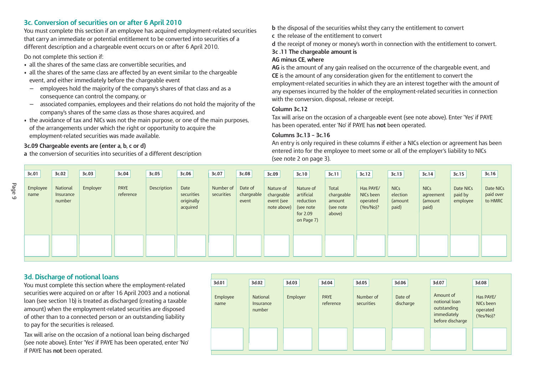## **3c. Conversion of securities on or after 6 April 2010**

You must complete this section if an employee has acquired employment-related securities that carry an immediate or potential entitlement to be converted into securities of a different description and a chargeable event occurs on or after 6 April 2010.

Do not complete this section if:

- all the shares of the same class are convertible securities, and
- all the shares of the same class are affected by an event similar to the chargeable event, and either immediately before the chargeable event
- employees hold the majority of the company's shares of that class and as a consequence can control the company, or
- associated companies, employees and their relations do not hold the majority of the company's shares of the same class as those shares acquired, and
- the avoidance of tax and NICs was not the main purpose, or one of the main purposes, of the arrangements under which the right or opportunity to acquire the employment-related securities was made available.

### **3c.09 Chargeable events are (enter a, b, c or d)**

**a** the conversion of securities into securities of a different description

- **b** the disposal of the securities whilst they carry the entitlement to convert
- **c** the release of the entitlement to convert
- **d** the receipt of money or money's worth in connection with the entitlement to convert.

## **3c .11 The chargeable amount is**

#### **AG minus CE, where**

**AG** is the amount of any gain realised on the occurrence of the chargeable event, and **CE** is the amount of any consideration given for the entitlement to convert the employment-related securities in which they are an interest together with the amount of any expenses incurred by the holder of the employment-related securities in connection with the conversion, disposal, release or receipt.

#### **Column 3c.12**

Tax will arise on the occasion of a chargeable event (see note above). Enter 'Yes' if PAYE has been operated, enter 'No' if PAYE has **not** been operated.

#### **Columns 3c.13 – 3c.16**

An entry is only required in these columns if either a NICs election or agreement has been entered into for the employee to meet some or all of the employer's liability to NICs (see note 2 on page 3).

| 3c.01            | 3c.02                           | 3c.03    | 3c.04                    | 3c.05       | 3c.06                                        | 3c.07                   | 3c.08                          | 3c.09                                                | 3c.10                                                                       | 3c.11                                                | 3c.12                                           | 3c.13                                       | 3c.14                                        | 3c.15                            | 3c.16                             |
|------------------|---------------------------------|----------|--------------------------|-------------|----------------------------------------------|-------------------------|--------------------------------|------------------------------------------------------|-----------------------------------------------------------------------------|------------------------------------------------------|-------------------------------------------------|---------------------------------------------|----------------------------------------------|----------------------------------|-----------------------------------|
| Employee<br>name | National<br>Insurance<br>number | Employer | <b>PAYE</b><br>reference | Description | Date<br>securities<br>originally<br>acquired | Number of<br>securities | Date of<br>chargeable<br>event | Nature of<br>chargeable<br>event (see<br>note above) | Nature of<br>artificial<br>reduction<br>(see note<br>for 2.09<br>on Page 7) | Total<br>chargeable<br>amount<br>(see note<br>above) | Has PAYE/<br>NICs been<br>operated<br>(Yes/No)? | <b>NICs</b><br>election<br>(amount<br>paid) | <b>NICs</b><br>agreement<br>(amount<br>paid) | Date NICs<br>paid by<br>employee | Date NICs<br>paid over<br>to HMRC |
|                  |                                 |          |                          |             |                                              |                         |                                |                                                      |                                                                             |                                                      |                                                 |                                             |                                              |                                  |                                   |

## **3d. Discharge of notional loans**

You must complete this section where the employment-related securities were acquired on or after 16 April 2003 and a notional loan (see section 1b) is treated as discharged (creating a taxable amount) when the employment-related securities are disposed of other than to a connected person or an outstanding liability to pay for the securities is released.

Tax will arise on the occasion of a notional loan being discharged (see note above). Enter 'Yes' if PAYE has been operated, enter 'No' if PAYE has **not** been operated.

| 3d.01            | 3d.02                           | 3d.03    | 3d.04                    | 3d.05                   | 3d.06                | 3d.07                                                                        | 3d.08                                           |
|------------------|---------------------------------|----------|--------------------------|-------------------------|----------------------|------------------------------------------------------------------------------|-------------------------------------------------|
| Employee<br>name | National<br>Insurance<br>number | Employer | <b>PAYE</b><br>reference | Number of<br>securities | Date of<br>discharge | Amount of<br>notional loan<br>outstanding<br>immediately<br>before discharge | Has PAYE/<br>NICs been<br>operated<br>(Yes/No)? |
|                  |                                 |          |                          |                         |                      |                                                                              |                                                 |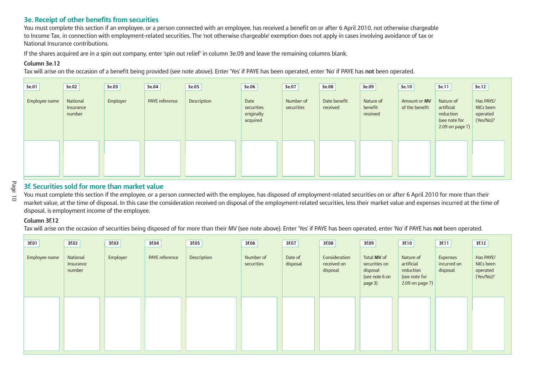## **3e. Receipt of other benefits from securities**

You must complete this section if an employee, or a person connected with an employee, has received a benefit on or after 6 April 2010, not otherwise chargeable to Income Tax, in connection with employment-related securities. The 'not otherwise chargeable' exemption does not apply in cases involving avoidance of tax or National Insurance contributions.

If the shares acquired are in a spin out company, enter 'spin out relief' in column 3e.09 and leave the remaining columns blank.

#### **Column 3e.12**

Tax will arise on the occasion of a benefit being provided (see note above). Enter 'Yes' if PAYE has been operated, enter 'No' if PAYE has **not** been operated.

| 3e.01         | 3e.02                           | 3e.03    | 3e.04          | 3e.05       | 3e.06                                        | 3e.07                   | 3e.08                    | 3e.09                            | 3e.10                          | 3e.11                                                                       | 3e.12                                           |
|---------------|---------------------------------|----------|----------------|-------------|----------------------------------------------|-------------------------|--------------------------|----------------------------------|--------------------------------|-----------------------------------------------------------------------------|-------------------------------------------------|
| Employee name | National<br>Insurance<br>number | Employer | PAYE reference | Description | Date<br>securities<br>originally<br>acquired | Number of<br>securities | Date benefit<br>received | Nature of<br>benefit<br>received | Amount or MV<br>of the benefit | Nature of<br>artificial<br>reduction<br>(see note for<br>2.09 on page $7$ ) | Has PAYE/<br>NICs been<br>operated<br>(Yes/No)? |
|               |                                 |          |                |             |                                              |                         |                          |                                  |                                |                                                                             |                                                 |

## **3f. Securities sold for more than market value**

You must complete this section if the employee, or a person connected with the employee, has disposed of employment-related securities on or after 6 April 2010 for more than their market value, at the time of disposal. In this case the consideration received on disposal of the employment-related securities, less their market value and expenses incurred at the time of disposal, is employment income of the employee.

#### **Column 3f.12**

Tax will arise on the occasion of securities being disposed of for more than their MV (see note above). Enter 'Yes' if PAYE has been operated, enter 'No' if PAYE has **not** been operated.

| 3f.01         | 3f.02                           | 3f.03    | 3f.04          | 3f.05       | 3f.06                   | 3f.07               | 3f.08                                    | 3f.09                                                                 | 3f.10                                                                    | 3f.11                               | 3f.12                                           |
|---------------|---------------------------------|----------|----------------|-------------|-------------------------|---------------------|------------------------------------------|-----------------------------------------------------------------------|--------------------------------------------------------------------------|-------------------------------------|-------------------------------------------------|
| Employee name | National<br>Insurance<br>number | Employer | PAYE reference | Description | Number of<br>securities | Date of<br>disposal | Consideration<br>received on<br>disposal | Total MV of<br>securities on<br>disposal<br>(see note 6 on<br>page 3) | Nature of<br>artificial<br>reduction<br>(see note for<br>2.09 on page 7) | Expenses<br>incurred on<br>disposal | Has PAYE/<br>NICs been<br>operated<br>(Yes/No)? |
|               |                                 |          |                |             |                         |                     |                                          |                                                                       |                                                                          |                                     |                                                 |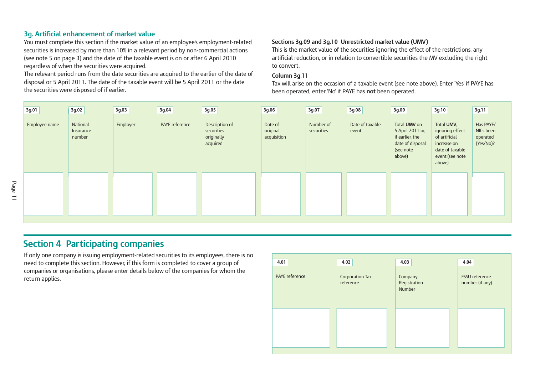## **3g. Artificial enhancement of market value**

You must complete this section if the market value of an employee's employment-related securities is increased by more than 10% in a relevant period by non-commercial actions (see note 5 on page 3) and the date of the taxable event is on or after 6 April 2010 regardless of when the securities were acquired.

The relevant period runs from the date securities are acquired to the earlier of the date of disposal or 5 April 2011. The date of the taxable event will be 5 April 2011 or the date the securities were disposed of if earlier.

#### **Sections 3g.09 and 3g.10 Unrestricted market value (UMV)**

This is the market value of the securities ignoring the effect of the restrictions, any artificial reduction, or in relation to convertible securities the MV excluding the right to convert.

#### **Column 3g.11**

Tax will arise on the occasion of a taxable event (see note above). Enter 'Yes' if PAYE has been operated, enter 'No' if PAYE has **not** been operated.

| 3g.01         | 3g.02                           | 3g.03    | 3g.04          | 3g.05                                                  | 3g.06                              | 3g.07                   | 3g.08                    | 3g.09                                                                                          | 3g.10                                                                                                         | 3g.11                                           |
|---------------|---------------------------------|----------|----------------|--------------------------------------------------------|------------------------------------|-------------------------|--------------------------|------------------------------------------------------------------------------------------------|---------------------------------------------------------------------------------------------------------------|-------------------------------------------------|
| Employee name | National<br>Insurance<br>number | Employer | PAYE reference | Description of<br>securities<br>originally<br>acquired | Date of<br>original<br>acquisition | Number of<br>securities | Date of taxable<br>event | Total UMV on<br>5 April 2011 or,<br>if earlier, the<br>date of disposal<br>(see note<br>above) | Total UMV,<br>ignoring effect<br>of artificial<br>increase on<br>date of taxable<br>event (see note<br>above) | Has PAYE/<br>NICs been<br>operated<br>(Yes/No)? |
|               |                                 |          |                |                                                        |                                    |                         |                          |                                                                                                |                                                                                                               |                                                 |

## **Section 4 Participating companies**

If only one company is issuing employment-related securities to its employees, there is no need to complete this section. However, if this form is completed to cover a group of companies or organisations, please enter details below of the companies for whom the **return applies.** Corporation Tax

| 4.01           | 4.02                         | 4.03                              | 4.04                                     |
|----------------|------------------------------|-----------------------------------|------------------------------------------|
| PAYE reference | Corporation Tax<br>reference | Company<br>Registration<br>Number | <b>ESSU</b> reference<br>number (if any) |
|                |                              |                                   |                                          |